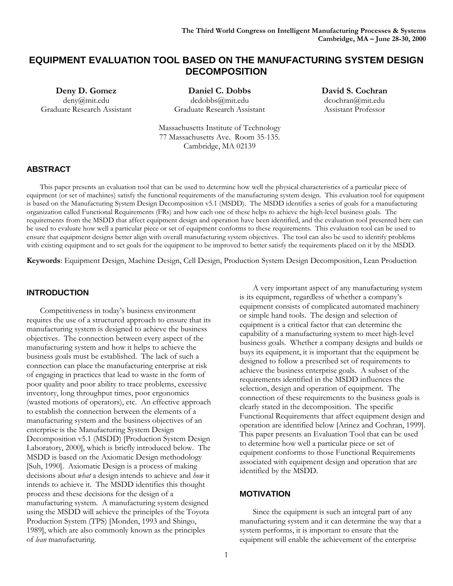# **EQUIPMENT EVALUATION TOOL BASED ON THE MANUFACTURING SYSTEM DESIGN DECOMPOSITION**

**Deny D. Gomez** deny@mit.edu Graduate Research Assistant

**Daniel C. Dobbs** dcdobbs@mit.edu Graduate Research Assistant **David S. Cochran** dcochran@mit.edu Assistant Professor

Massachusetts Institute of Technology 77 Massachusetts Ave. Room 35-135. Cambridge, MA 02139

# **ABSTRACT**

This paper presents an evaluation tool that can be used to determine how well the physical characteristics of a particular piece of equipment (or set of machines) satisfy the functional requirements of the manufacturing system design. This evaluation tool for equipment is based on the Manufacturing System Design Decomposition v5.1 (MSDD). The MSDD identifies a series of goals for a manufacturing organization called Functional Requirements (FRs) and how each one of these helps to achieve the high-level business goals. The requirements from the MSDD that affect equipment design and operation have been identified, and the evaluation tool presented here can be used to evaluate how well a particular piece or set of equipment conforms to these requirements. This evaluation tool can be used to ensure that equipment designs better align with overall manufacturing system objectives. The tool can also be used to identify problems with existing equipment and to set goals for the equipment to be improved to better satisfy the requirements placed on it by the MSDD.

**Keywords**: Equipment Design, Machine Design, Cell Design, Production System Design Decomposition, Lean Production

### **INTRODUCTION**

Competitiveness in today's business environment requires the use of a structured approach to ensure that its manufacturing system is designed to achieve the business objectives. The connection between every aspect of the manufacturing system and how it helps to achieve the business goals must be established. The lack of such a connection can place the manufacturing enterprise at risk of engaging in practices that lead to waste in the form of poor quality and poor ability to trace problems, excessive inventory, long throughput times, poor ergonomics (wasted motions of operators), etc. An effective approach to establish the connection between the elements of a manufacturing system and the business objectives of an enterprise is the Manufacturing System Design Decomposition v5.1 (MSDD) [Production System Design Laboratory, 2000], which is briefly introduced below. The MSDD is based on the Axiomatic Design methodology [Suh, 1990]. Axiomatic Design is a process of making decisions about *what* a design intends to achieve and *how* it intends to achieve it. The MSDD identifies this thought process and these decisions for the design of a manufacturing system. A manufacturing system designed using the MSDD will achieve the principles of the Toyota Production System (TPS) [Monden, 1993 and Shingo, 1989], which are also commonly known as the principles of *lean* manufacturing.

A very important aspect of any manufacturing system is its equipment, regardless of whether a company's equipment consists of complicated automated machinery or simple hand tools. The design and selection of equipment is a critical factor that can determine the capability of a manufacturing system to meet high-level business goals. Whether a company designs and builds or buys its equipment, it is important that the equipment be designed to follow a prescribed set of requirements to achieve the business enterprise goals. A subset of the requirements identified in the MSDD influences the selection, design and operation of equipment. The connection of these requirements to the business goals is clearly stated in the decomposition. The specific Functional Requirements that affect equipment design and operation are identified below [Arinez and Cochran, 1999]. This paper presents an Evaluation Tool that can be used to determine how well a particular piece or set of equipment conforms to those Functional Requirements associated with equipment design and operation that are identified by the MSDD.

### **MOTIVATION**

Since the equipment is such an integral part of any manufacturing system and it can determine the way that a system performs, it is important to ensure that the equipment will enable the achievement of the enterprise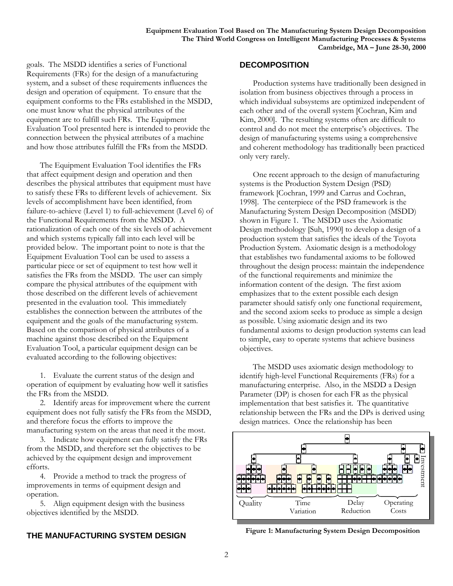goals. The MSDD identifies a series of Functional Requirements (FRs) for the design of a manufacturing system, and a subset of these requirements influences the design and operation of equipment. To ensure that the equipment conforms to the FRs established in the MSDD, one must know what the physical attributes of the equipment are to fulfill such FRs. The Equipment Evaluation Tool presented here is intended to provide the connection between the physical attributes of a machine and how those attributes fulfill the FRs from the MSDD.

The Equipment Evaluation Tool identifies the FRs that affect equipment design and operation and then describes the physical attributes that equipment must have to satisfy these FRs to different levels of achievement. Six levels of accomplishment have been identified, from failure-to-achieve (Level 1) to full-achievement (Level 6) of the Functional Requirements from the MSDD. A rationalization of each one of the six levels of achievement and which systems typically fall into each level will be provided below. The important point to note is that the Equipment Evaluation Tool can be used to assess a particular piece or set of equipment to test how well it satisfies the FRs from the MSDD. The user can simply compare the physical attributes of the equipment with those described on the different levels of achievement presented in the evaluation tool. This immediately establishes the connection between the attributes of the equipment and the goals of the manufacturing system. Based on the comparison of physical attributes of a machine against those described on the Equipment Evaluation Tool, a particular equipment design can be evaluated according to the following objectives:

1. Evaluate the current status of the design and operation of equipment by evaluating how well it satisfies the FRs from the MSDD.

2. Identify areas for improvement where the current equipment does not fully satisfy the FRs from the MSDD, and therefore focus the efforts to improve the manufacturing system on the areas that need it the most.

3. Indicate how equipment can fully satisfy the FRs from the MSDD, and therefore set the objectives to be achieved by the equipment design and improvement efforts.

4. Provide a method to track the progress of improvements in terms of equipment design and operation.

5. Align equipment design with the business objectives identified by the MSDD.

# **THE MANUFACTURING SYSTEM DESIGN**

#### **DECOMPOSITION**

Production systems have traditionally been designed in isolation from business objectives through a process in which individual subsystems are optimized independent of each other and of the overall system [Cochran, Kim and Kim, 2000]. The resulting systems often are difficult to control and do not meet the enterprise's objectives. The design of manufacturing systems using a comprehensive and coherent methodology has traditionally been practiced only very rarely.

One recent approach to the design of manufacturing systems is the Production System Design (PSD) framework [Cochran, 1999 and Carrus and Cochran, 1998]. The centerpiece of the PSD framework is the Manufacturing System Design Decomposition (MSDD) shown in Figure 1. The MSDD uses the Axiomatic Design methodology [Suh, 1990] to develop a design of a production system that satisfies the ideals of the Toyota Production System. Axiomatic design is a methodology that establishes two fundamental axioms to be followed throughout the design process: maintain the independence of the functional requirements and minimize the information content of the design. The first axiom emphasizes that to the extent possible each design parameter should satisfy only one functional requirement, and the second axiom seeks to produce as simple a design as possible. Using axiomatic design and its two fundamental axioms to design production systems can lead to simple, easy to operate systems that achieve business objectives.

The MSDD uses axiomatic design methodology to identify high-level Functional Requirements (FRs) for a manufacturing enterprise. Also, in the MSDD a Design Parameter (DP) is chosen for each FR as the physical implementation that best satisfies it. The quantitative relationship between the FRs and the DPs is derived using design matrices. Once the relationship has been



**Figure 1: Manufacturing System Design Decomposition**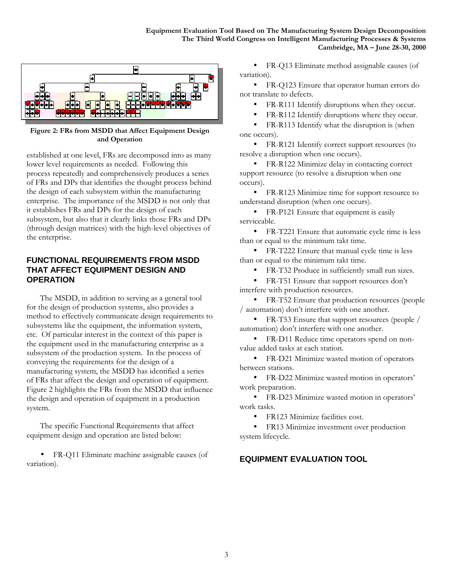

**Figure 2: FRs from MSDD that Affect Equipment Design and Operation**

established at one level, FRs are decomposed into as many lower level requirements as needed. Following this process repeatedly and comprehensively produces a series of FRs and DPs that identifies the thought process behind the design of each subsystem within the manufacturing enterprise. The importance of the MSDD is not only that it establishes FRs and DPs for the design of each subsystem, but also that it clearly links those FRs and DPs (through design matrices) with the high-level objectives of the enterprise.

# **FUNCTIONAL REQUIREMENTS FROM MSDD THAT AFFECT EQUIPMENT DESIGN AND OPERATION**

The MSDD, in addition to serving as a general tool for the design of production systems, also provides a method to effectively communicate design requirements to subsystems like the equipment, the information system, etc. Of particular interest in the context of this paper is the equipment used in the manufacturing enterprise as a subsystem of the production system. In the process of conveying the requirements for the design of a manufacturing system, the MSDD has identified a series of FRs that affect the design and operation of equipment. Figure 2 highlights the FRs from the MSDD that influence the design and operation of equipment in a production system.

The specific Functional Requirements that affect equipment design and operation are listed below:

• FR-Q11 Eliminate machine assignable causes (of variation).

• FR-Q13 Eliminate method assignable causes (of variation).

• FR-Q123 Ensure that operator human errors do not translate to defects.

FR-R111 Identify disruptions when they occur.

FR-R112 Identify disruptions where they occur.

• FR-R113 Identify what the disruption is (when one occurs).

• FR-R121 Identify correct support resources (to resolve a disruption when one occurs).

• FR-R122 Minimize delay in contacting correct support resource (to resolve a disruption when one occurs).

• FR-R123 Minimize time for support resource to understand disruption (when one occurs).

• FR-P121 Ensure that equipment is easily serviceable.

• FR-T221 Ensure that automatic cycle time is less than or equal to the minimum takt time.

• FR-T222 Ensure that manual cycle time is less than or equal to the minimum takt time.

• FR-T32 Produce in sufficiently small run sizes.

• FR-T51 Ensure that support resources don't interfere with production resources.

• FR-T52 Ensure that production resources (people / automation) don't interfere with one another.

• FR-T53 Ensure that support resources (people / automation) don't interfere with one another.

• FR-D11 Reduce time operators spend on nonvalue added tasks at each station.

• FR-D21 Minimize wasted motion of operators between stations.

• FR-D22 Minimize wasted motion in operators' work preparation.

• FR-D23 Minimize wasted motion in operators' work tasks.

• FR123 Minimize facilities cost.

• FR13 Minimize investment over production system lifecycle.

# **EQUIPMENT EVALUATION TOOL**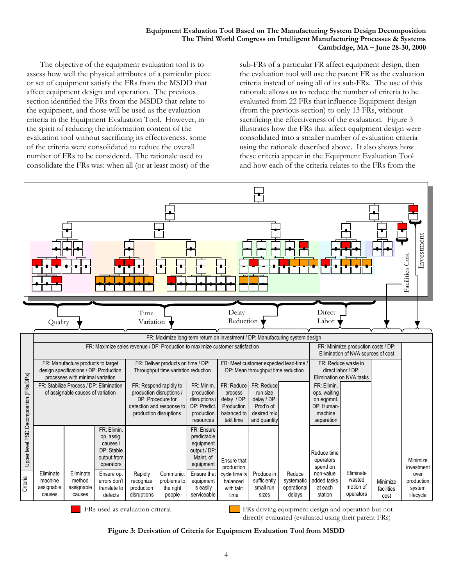The objective of the equipment evaluation tool is to assess how well the physical attributes of a particular piece or set of equipment satisfy the FRs from the MSDD that affect equipment design and operation. The previous section identified the FRs from the MSDD that relate to the equipment, and those will be used as the evaluation criteria in the Equipment Evaluation Tool. However, in the spirit of reducing the information content of the evaluation tool without sacrificing its effectiveness, some of the criteria were consolidated to reduce the overall number of FRs to be considered. The rationale used to consolidate the FRs was: when all (or at least most) of the

sub-FRs of a particular FR affect equipment design, then the evaluation tool will use the parent FR as the evaluation criteria instead of using all of its sub-FRs. The use of this rationale allows us to reduce the number of criteria to be evaluated from 22 FRs that influence Equipment design (from the previous section) to only 13 FRs, without sacrificing the effectiveness of the evaluation. Figure 3 illustrates how the FRs that affect equipment design were consolidated into a smaller number of evaluation criteria using the rationale described above. It also shows how these criteria appear in the Equipment Evaluation Tool and how each of the criteria relates to the FRs from the



FRs used as evaluation criteria **FRS** driving equipment design and operation but not directly evaluated (evaluated using their parent FRs)

#### **Figure 3: Derivation of Criteria for Equipment Evaluation Tool from MSDD**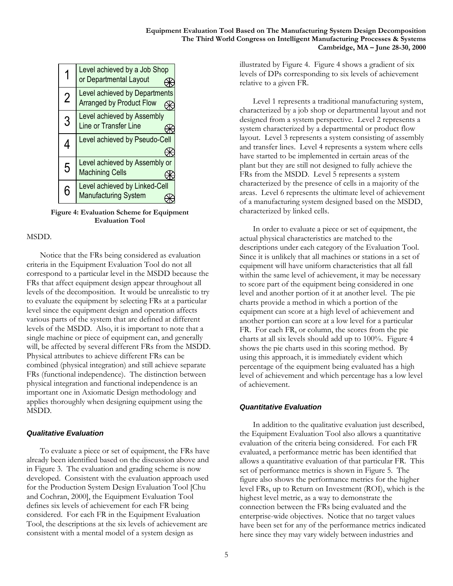|   | Level achieved by a Job Shop<br>or Departmental Layout           |
|---|------------------------------------------------------------------|
| 2 | Level achieved by Departments<br><b>Arranged by Product Flow</b> |
| 3 | Level achieved by Assembly<br><b>Line or Transfer Line</b>       |
| 4 | Level achieved by Pseudo-Cell                                    |
| 5 | Level achieved by Assembly or<br><b>Machining Cells</b>          |
| 6 | Level achieved by Linked-Cell<br><b>Manufacturing System</b>     |

**Figure 4: Evaluation Scheme for Equipment Evaluation Tool**

### MSDD.

Notice that the FRs being considered as evaluation criteria in the Equipment Evaluation Tool do not all correspond to a particular level in the MSDD because the FRs that affect equipment design appear throughout all levels of the decomposition. It would be unrealistic to try to evaluate the equipment by selecting FRs at a particular level since the equipment design and operation affects various parts of the system that are defined at different levels of the MSDD. Also, it is important to note that a single machine or piece of equipment can, and generally will, be affected by several different FRs from the MSDD. Physical attributes to achieve different FRs can be combined (physical integration) and still achieve separate FRs (functional independence). The distinction between physical integration and functional independence is an important one in Axiomatic Design methodology and applies thoroughly when designing equipment using the MSDD.

### *Qualitative Evaluation*

To evaluate a piece or set of equipment, the FRs have already been identified based on the discussion above and in Figure 3. The evaluation and grading scheme is now developed. Consistent with the evaluation approach used for the Production System Design Evaluation Tool [Chu and Cochran, 2000], the Equipment Evaluation Tool defines six levels of achievement for each FR being considered. For each FR in the Equipment Evaluation Tool, the descriptions at the six levels of achievement are consistent with a mental model of a system design as

illustrated by Figure 4. Figure 4 shows a gradient of six levels of DPs corresponding to six levels of achievement relative to a given FR.

Level 1 represents a traditional manufacturing system, characterized by a job shop or departmental layout and not designed from a system perspective. Level 2 represents a system characterized by a departmental or product flow layout. Level 3 represents a system consisting of assembly and transfer lines. Level 4 represents a system where cells have started to be implemented in certain areas of the plant but they are still not designed to fully achieve the FRs from the MSDD. Level 5 represents a system characterized by the presence of cells in a majority of the areas. Level 6 represents the ultimate level of achievement of a manufacturing system designed based on the MSDD, characterized by linked cells.

In order to evaluate a piece or set of equipment, the actual physical characteristics are matched to the descriptions under each category of the Evaluation Tool. Since it is unlikely that all machines or stations in a set of equipment will have uniform characteristics that all fall within the same level of achievement, it may be necessary to score part of the equipment being considered in one level and another portion of it at another level. The pie charts provide a method in which a portion of the equipment can score at a high level of achievement and another portion can score at a low level for a particular FR. For each FR, or column, the scores from the pie charts at all six levels should add up to 100%. Figure 4 shows the pie charts used in this scoring method. By using this approach, it is immediately evident which percentage of the equipment being evaluated has a high level of achievement and which percentage has a low level of achievement.

### *Quantitative Evaluation*

In addition to the qualitative evaluation just described, the Equipment Evaluation Tool also allows a quantitative evaluation of the criteria being considered. For each FR evaluated, a performance metric has been identified that allows a quantitative evaluation of that particular FR. This set of performance metrics is shown in Figure 5. The figure also shows the performance metrics for the higher level FRs, up to Return on Investment (ROI), which is the highest level metric, as a way to demonstrate the connection between the FRs being evaluated and the enterprise-wide objectives. Notice that no target values have been set for any of the performance metrics indicated here since they may vary widely between industries and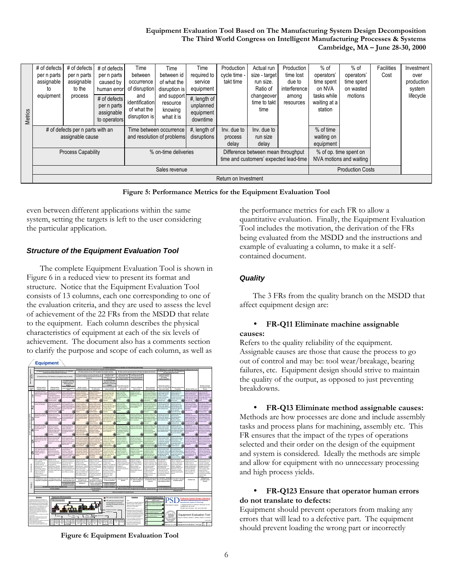|         | # of defects                     | # of defects | # of defects                                              | Time                                                  | Time                                             | Time                                               | Production                                                                   | Actual run                         | Production         | $%$ of                                            | $%$ of                  | Facilities | Investment |
|---------|----------------------------------|--------------|-----------------------------------------------------------|-------------------------------------------------------|--------------------------------------------------|----------------------------------------------------|------------------------------------------------------------------------------|------------------------------------|--------------------|---------------------------------------------------|-------------------------|------------|------------|
|         | per n parts                      | per n parts  | per n parts                                               | between                                               | between id                                       | required to                                        | cycle time -                                                                 | size - target                      | time lost          | operators'                                        | operators'              | Cost       | over       |
|         | assignable                       | assignable   | caused by                                                 | occurrence                                            | of what the                                      | service                                            | takt time                                                                    | run size.                          | due to             | time spent                                        | time spent              |            | production |
|         | to                               | to the       | human error                                               | of disruption                                         | disruption is                                    | equipment                                          |                                                                              | Ratio of                           | interference       | on NVA                                            | on wasted               |            | system     |
| Metrics | equipment                        | process      | # of defects<br>per n parts<br>assignable<br>to operators | and<br>identification<br>of what the<br>disruption is | and support<br>resource<br>knowing<br>what it is | #, length of<br>unplanned<br>equipment<br>downtime |                                                                              | changeover<br>time to takt<br>time | among<br>resources | tasks while<br>waiting at a<br>station            | motions                 |            | lifecycle  |
|         | # of defects per n parts with an |              | Time between occurrence                                   |                                                       | #, length of                                     | Inv. due to                                        | Inv. due to                                                                  |                                    | % of time          |                                                   |                         |            |            |
|         | assignable cause                 |              |                                                           | disruptions<br>and resolution of problems             |                                                  | process                                            | run size                                                                     |                                    | waiting on         |                                                   |                         |            |            |
|         |                                  |              |                                                           |                                                       | delay                                            | delay                                              |                                                                              | equipment                          |                    |                                                   |                         |            |            |
|         | <b>Process Capability</b>        |              |                                                           | % on-time deliveries                                  |                                                  |                                                    | Difference between mean throughput<br>time and customers' expected lead-time |                                    |                    | % of op. time spent on<br>NVA motions and waiting |                         |            |            |
|         | Sales revenue                    |              |                                                           |                                                       |                                                  |                                                    |                                                                              |                                    |                    |                                                   | <b>Production Costs</b> |            |            |
|         | Return on Investment             |              |                                                           |                                                       |                                                  |                                                    |                                                                              |                                    |                    |                                                   |                         |            |            |
|         |                                  |              |                                                           |                                                       |                                                  |                                                    |                                                                              |                                    |                    |                                                   |                         |            |            |

**Figure 5: Performance Metrics for the Equipment Evaluation Tool**

even between different applications within the same system, setting the targets is left to the user considering the particular application.

# *Structure of the Equipment Evaluation Tool*

The complete Equipment Evaluation Tool is shown in Figure 6 in a reduced view to present its format and structure. Notice that the Equipment Evaluation Tool consists of 13 columns, each one corresponding to one of the evaluation criteria, and they are used to assess the level of achievement of the 22 FRs from the MSDD that relate to the equipment. Each column describes the physical characteristics of equipment at each of the six levels of achievement. The document also has a comments section to clarify the purpose and scope of each column, as well as



**Figure 6: Equipment Evaluation Tool**

the performance metrics for each FR to allow a quantitative evaluation. Finally, the Equipment Evaluation Tool includes the motivation, the derivation of the FRs being evaluated from the MSDD and the instructions and example of evaluating a column, to make it a selfcontained document.

# *Quality*

The 3 FRs from the quality branch on the MSDD that affect equipment design are:

### • **FR-Q11 Eliminate machine assignable causes:**

Refers to the quality reliability of the equipment. Assignable causes are those that cause the process to go out of control and may be: tool wear/breakage, bearing failures, etc. Equipment design should strive to maintain the quality of the output, as opposed to just preventing breakdowns.

• **FR-Q13 Eliminate method assignable causes:** Methods are how processes are done and include assembly tasks and process plans for machining, assembly etc. This FR ensures that the impact of the types of operations selected and their order on the design of the equipment and system is considered. Ideally the methods are simple and allow for equipment with no unnecessary processing and high process yields.

### • **FR-Q123 Ensure that operator human errors do not translate to defects:**

Equipment should prevent operators from making any errors that will lead to a defective part. The equipment should prevent loading the wrong part or incorrectly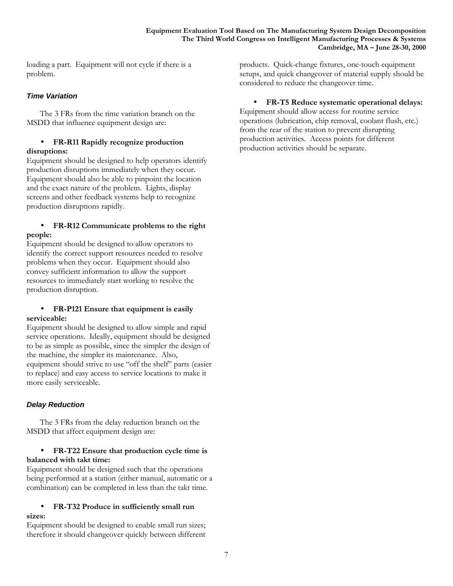loading a part. Equipment will not cycle if there is a problem.

# *Time Variation*

The 3 FRs from the time variation branch on the MSDD that influence equipment design are:

#### • **FR-R11 Rapidly recognize production disruptions:**

Equipment should be designed to help operators identify production disruptions immediately when they occur. Equipment should also be able to pinpoint the location and the exact nature of the problem. Lights, display screens and other feedback systems help to recognize production disruptions rapidly.

# • **FR-R12 Communicate problems to the right people:**

Equipment should be designed to allow operators to identify the correct support resources needed to resolve problems when they occur. Equipment should also convey sufficient information to allow the support resources to immediately start working to resolve the production disruption.

### • **FR-P121 Ensure that equipment is easily serviceable:**

Equipment should be designed to allow simple and rapid service operations. Ideally, equipment should be designed to be as simple as possible, since the simpler the design of the machine, the simpler its maintenance. Also, equipment should strive to use "off the shelf" parts (easier to replace) and easy access to service locations to make it more easily serviceable.

# *Delay Reduction*

The 3 FRs from the delay reduction branch on the MSDD that affect equipment design are:

# • **FR-T22 Ensure that production cycle time is balanced with takt time:**

Equipment should be designed such that the operations being performed at a station (either manual, automatic or a combination) can be completed in less than the takt time.

### • **FR-T32 Produce in sufficiently small run sizes:**

Equipment should be designed to enable small run sizes; therefore it should changeover quickly between different products. Quick-change fixtures, one-touch equipment setups, and quick changeover of material supply should be considered to reduce the changeover time.

# • **FR-T5 Reduce systematic operational delays:**

Equipment should allow access for routine service operations (lubrication, chip removal, coolant flush, etc.) from the rear of the station to prevent disrupting production activities. Access points for different production activities should be separate.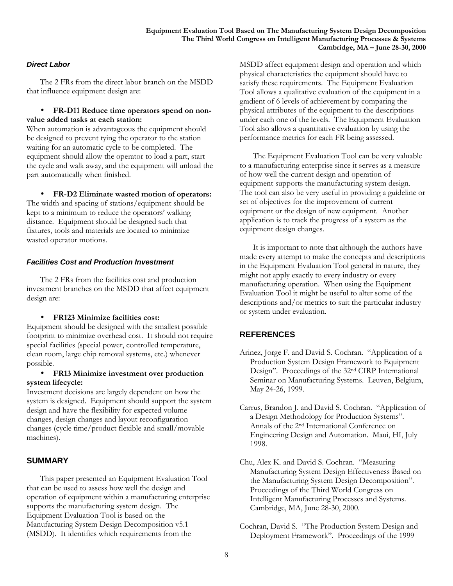#### **Equipment Evaluation Tool Based on The Manufacturing System Design Decomposition The Third World Congress on Intelligent Manufacturing Processes & Systems Cambridge, MA – June 28-30, 2000**

# *Direct Labor*

The 2 FRs from the direct labor branch on the MSDD that influence equipment design are:

### • **FR-D11 Reduce time operators spend on nonvalue added tasks at each station:**

When automation is advantageous the equipment should be designed to prevent tying the operator to the station waiting for an automatic cycle to be completed. The equipment should allow the operator to load a part, start the cycle and walk away, and the equipment will unload the part automatically when finished.

• **FR-D2 Eliminate wasted motion of operators:**

The width and spacing of stations/equipment should be kept to a minimum to reduce the operators' walking distance. Equipment should be designed such that fixtures, tools and materials are located to minimize wasted operator motions.

### *Facilities Cost and Production Investment*

The 2 FRs from the facilities cost and production investment branches on the MSDD that affect equipment design are:

### • **FR123 Minimize facilities cost:**

Equipment should be designed with the smallest possible footprint to minimize overhead cost. It should not require special facilities (special power, controlled temperature, clean room, large chip removal systems, etc.) whenever possible.

### • **FR13 Minimize investment over production system lifecycle:**

Investment decisions are largely dependent on how the system is designed. Equipment should support the system design and have the flexibility for expected volume changes, design changes and layout reconfiguration changes (cycle time/product flexible and small/movable machines).

# **SUMMARY**

This paper presented an Equipment Evaluation Tool that can be used to assess how well the design and operation of equipment within a manufacturing enterprise supports the manufacturing system design. The Equipment Evaluation Tool is based on the Manufacturing System Design Decomposition v5.1 (MSDD). It identifies which requirements from the

MSDD affect equipment design and operation and which physical characteristics the equipment should have to satisfy these requirements. The Equipment Evaluation Tool allows a qualitative evaluation of the equipment in a gradient of 6 levels of achievement by comparing the physical attributes of the equipment to the descriptions under each one of the levels. The Equipment Evaluation Tool also allows a quantitative evaluation by using the performance metrics for each FR being assessed.

The Equipment Evaluation Tool can be very valuable to a manufacturing enterprise since it serves as a measure of how well the current design and operation of equipment supports the manufacturing system design. The tool can also be very useful in providing a guideline or set of objectives for the improvement of current equipment or the design of new equipment. Another application is to track the progress of a system as the equipment design changes.

It is important to note that although the authors have made every attempt to make the concepts and descriptions in the Equipment Evaluation Tool general in nature, they might not apply exactly to every industry or every manufacturing operation. When using the Equipment Evaluation Tool it might be useful to alter some of the descriptions and/or metrics to suit the particular industry or system under evaluation.

# **REFERENCES**

- Arinez, Jorge F. and David S. Cochran. "Application of a Production System Design Framework to Equipment Design". Proceedings of the 32nd CIRP International Seminar on Manufacturing Systems. Leuven, Belgium, May 24-26, 1999.
- Carrus, Brandon J. and David S. Cochran. "Application of a Design Methodology for Production Systems". Annals of the 2nd International Conference on Engineering Design and Automation. Maui, HI, July 1998.
- Chu, Alex K. and David S. Cochran. "Measuring Manufacturing System Design Effectiveness Based on the Manufacturing System Design Decomposition". Proceedings of the Third World Congress on Intelligent Manufacturing Processes and Systems. Cambridge, MA, June 28-30, 2000.
- Cochran, David S. "The Production System Design and Deployment Framework". Proceedings of the 1999